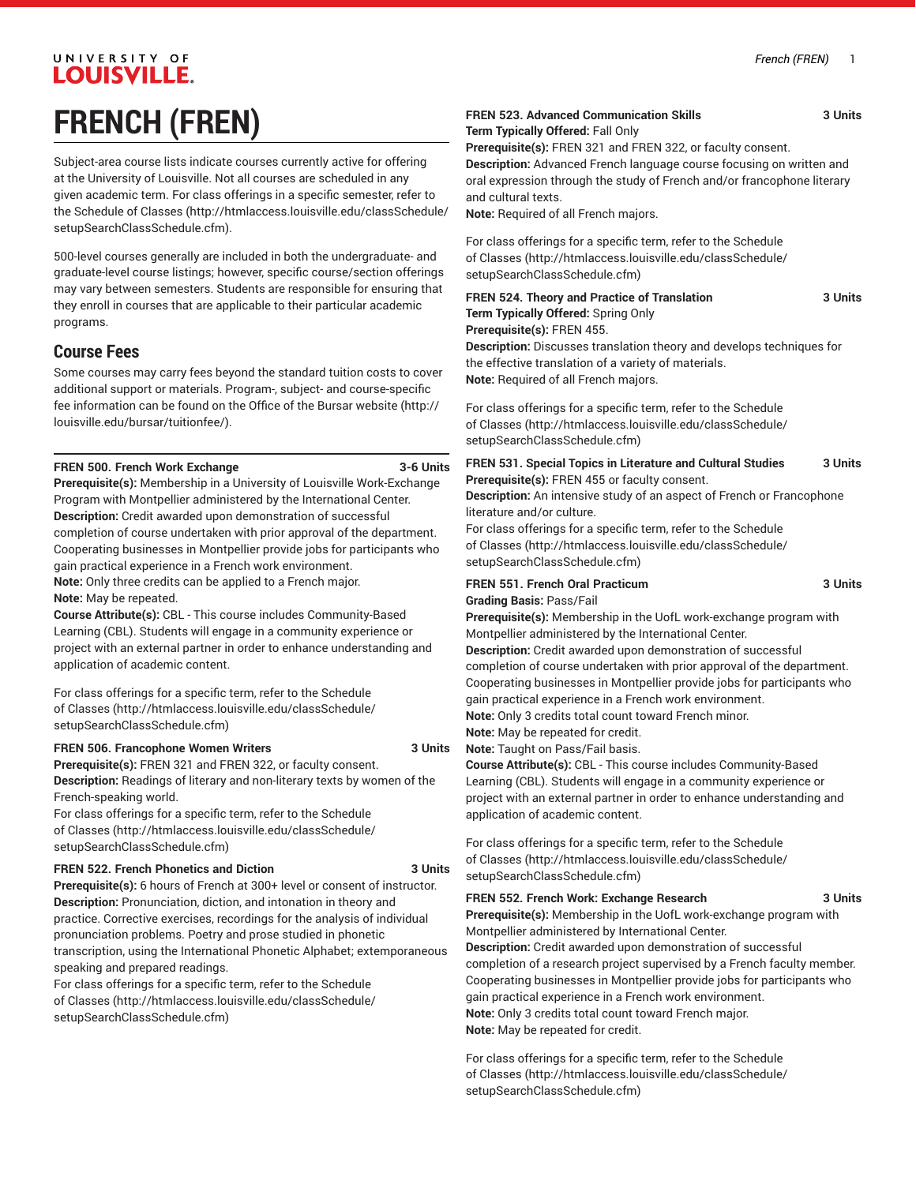## UNIVERSITY OF **LOUISVILLE. FRENCH (FREN)**

Subject-area course lists indicate courses currently active for offering at the University of Louisville. Not all courses are scheduled in any given academic term. For class offerings in a specific semester, refer to the [Schedule of Classes](http://htmlaccess.louisville.edu/classSchedule/setupSearchClassSchedule.cfm) ([http://htmlaccess.louisville.edu/classSchedule/](http://htmlaccess.louisville.edu/classSchedule/setupSearchClassSchedule.cfm) [setupSearchClassSchedule.cfm\)](http://htmlaccess.louisville.edu/classSchedule/setupSearchClassSchedule.cfm).

500-level courses generally are included in both the undergraduate- and graduate-level course listings; however, specific course/section offerings may vary between semesters. Students are responsible for ensuring that they enroll in courses that are applicable to their particular academic programs.

### **Course Fees**

Some courses may carry fees beyond the standard tuition costs to cover additional support or materials. Program-, subject- and course-specific fee information can be found on the [Office of the Bursar website](http://louisville.edu/bursar/tuitionfee/) ([http://](http://louisville.edu/bursar/tuitionfee/) [louisville.edu/bursar/tuitionfee/](http://louisville.edu/bursar/tuitionfee/)).

#### **FREN 500. French Work Exchange 3-6 Units**

**Prerequisite(s):** Membership in a University of Louisville Work-Exchange Program with Montpellier administered by the International Center. **Description:** Credit awarded upon demonstration of successful completion of course undertaken with prior approval of the department. Cooperating businesses in Montpellier provide jobs for participants who gain practical experience in a French work environment. **Note:** Only three credits can be applied to a French major.

**Note:** May be repeated.

**Course Attribute(s):** CBL - This course includes Community-Based Learning (CBL). Students will engage in a community experience or project with an external partner in order to enhance understanding and application of academic content.

For class offerings for a specific term, refer to the [Schedule](http://htmlaccess.louisville.edu/classSchedule/setupSearchClassSchedule.cfm) [of Classes \(http://htmlaccess.louisville.edu/classSchedule/](http://htmlaccess.louisville.edu/classSchedule/setupSearchClassSchedule.cfm) [setupSearchClassSchedule.cfm\)](http://htmlaccess.louisville.edu/classSchedule/setupSearchClassSchedule.cfm)

#### **FREN 506. Francophone Women Writers 3 Units**

**Prerequisite(s):** FREN 321 and FREN 322, or faculty consent. **Description:** Readings of literary and non-literary texts by women of the French-speaking world.

For class offerings for a specific term, refer to the [Schedule](http://htmlaccess.louisville.edu/classSchedule/setupSearchClassSchedule.cfm) [of Classes \(http://htmlaccess.louisville.edu/classSchedule/](http://htmlaccess.louisville.edu/classSchedule/setupSearchClassSchedule.cfm) [setupSearchClassSchedule.cfm\)](http://htmlaccess.louisville.edu/classSchedule/setupSearchClassSchedule.cfm)

#### **FREN 522. French Phonetics and Diction 3 Units**

**Prerequisite(s):** 6 hours of French at 300+ level or consent of instructor. **Description:** Pronunciation, diction, and intonation in theory and practice. Corrective exercises, recordings for the analysis of individual pronunciation problems. Poetry and prose studied in phonetic transcription, using the International Phonetic Alphabet; extemporaneous speaking and prepared readings.

For class offerings for a specific term, refer to the [Schedule](http://htmlaccess.louisville.edu/classSchedule/setupSearchClassSchedule.cfm) [of Classes \(http://htmlaccess.louisville.edu/classSchedule/](http://htmlaccess.louisville.edu/classSchedule/setupSearchClassSchedule.cfm) [setupSearchClassSchedule.cfm\)](http://htmlaccess.louisville.edu/classSchedule/setupSearchClassSchedule.cfm)

#### **FREN 523. Advanced Communication Skills 3 Units Term Typically Offered:** Fall Only

**Prerequisite(s):** FREN 321 and FREN 322, or faculty consent. **Description:** Advanced French language course focusing on written and oral expression through the study of French and/or francophone literary and cultural texts.

**Note:** Required of all French majors.

For class offerings for a specific term, refer to the [Schedule](http://htmlaccess.louisville.edu/classSchedule/setupSearchClassSchedule.cfm) [of Classes](http://htmlaccess.louisville.edu/classSchedule/setupSearchClassSchedule.cfm) ([http://htmlaccess.louisville.edu/classSchedule/](http://htmlaccess.louisville.edu/classSchedule/setupSearchClassSchedule.cfm) [setupSearchClassSchedule.cfm\)](http://htmlaccess.louisville.edu/classSchedule/setupSearchClassSchedule.cfm)

**FREN 524. Theory and Practice of Translation 3 Units Term Typically Offered:** Spring Only **Prerequisite(s):** FREN 455. **Description:** Discusses translation theory and develops techniques for the effective translation of a variety of materials. **Note:** Required of all French majors.

For class offerings for a specific term, refer to the [Schedule](http://htmlaccess.louisville.edu/classSchedule/setupSearchClassSchedule.cfm) [of Classes](http://htmlaccess.louisville.edu/classSchedule/setupSearchClassSchedule.cfm) ([http://htmlaccess.louisville.edu/classSchedule/](http://htmlaccess.louisville.edu/classSchedule/setupSearchClassSchedule.cfm) [setupSearchClassSchedule.cfm\)](http://htmlaccess.louisville.edu/classSchedule/setupSearchClassSchedule.cfm)

**FREN 531. Special Topics in Literature and Cultural Studies 3 Units Prerequisite(s):** FREN 455 or faculty consent.

**Description:** An intensive study of an aspect of French or Francophone literature and/or culture.

For class offerings for a specific term, refer to the [Schedule](http://htmlaccess.louisville.edu/classSchedule/setupSearchClassSchedule.cfm) [of Classes](http://htmlaccess.louisville.edu/classSchedule/setupSearchClassSchedule.cfm) ([http://htmlaccess.louisville.edu/classSchedule/](http://htmlaccess.louisville.edu/classSchedule/setupSearchClassSchedule.cfm) [setupSearchClassSchedule.cfm\)](http://htmlaccess.louisville.edu/classSchedule/setupSearchClassSchedule.cfm)

**FREN 551. French Oral Practicum 3 Units Grading Basis:** Pass/Fail

**Prerequisite(s):** Membership in the UofL work-exchange program with Montpellier administered by the International Center. **Description:** Credit awarded upon demonstration of successful

completion of course undertaken with prior approval of the department. Cooperating businesses in Montpellier provide jobs for participants who gain practical experience in a French work environment. **Note:** Only 3 credits total count toward French minor.

**Note:** May be repeated for credit.

**Note:** Taught on Pass/Fail basis.

**Course Attribute(s):** CBL - This course includes Community-Based Learning (CBL). Students will engage in a community experience or project with an external partner in order to enhance understanding and application of academic content.

For class offerings for a specific term, refer to the [Schedule](http://htmlaccess.louisville.edu/classSchedule/setupSearchClassSchedule.cfm) [of Classes](http://htmlaccess.louisville.edu/classSchedule/setupSearchClassSchedule.cfm) ([http://htmlaccess.louisville.edu/classSchedule/](http://htmlaccess.louisville.edu/classSchedule/setupSearchClassSchedule.cfm) [setupSearchClassSchedule.cfm\)](http://htmlaccess.louisville.edu/classSchedule/setupSearchClassSchedule.cfm)

#### **FREN 552. French Work: Exchange Research 3 Units**

**Prerequisite(s):** Membership in the UofL work-exchange program with Montpellier administered by International Center.

**Description:** Credit awarded upon demonstration of successful completion of a research project supervised by a French faculty member. Cooperating businesses in Montpellier provide jobs for participants who gain practical experience in a French work environment. **Note:** Only 3 credits total count toward French major. **Note:** May be repeated for credit.

For class offerings for a specific term, refer to the [Schedule](http://htmlaccess.louisville.edu/classSchedule/setupSearchClassSchedule.cfm) [of Classes](http://htmlaccess.louisville.edu/classSchedule/setupSearchClassSchedule.cfm) ([http://htmlaccess.louisville.edu/classSchedule/](http://htmlaccess.louisville.edu/classSchedule/setupSearchClassSchedule.cfm) [setupSearchClassSchedule.cfm\)](http://htmlaccess.louisville.edu/classSchedule/setupSearchClassSchedule.cfm)